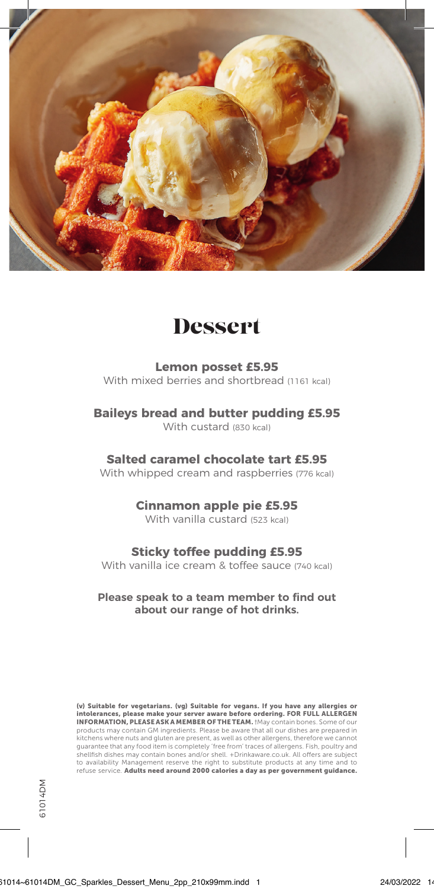

## **Dessert**

**Lemon posset £5.95** With mixed berries and shortbread (1161 kcal)

**Baileys bread and butter pudding £5.95**

With custard (830 kcal)

**Salted caramel chocolate tart £5.95**

With whipped cream and raspberries (776 kcal)

**Cinnamon apple pie £5.95**

With vanilla custard (523 kcal)

## **Sticky toffee pudding £5.95**

With vanilla ice cream & toffee sauce (740 kcal)

**Please speak to a team member to find out about our range of hot drinks.**

(v) Suitable for vegetarians. (vg) Suitable for vegans. If you have any allergies or intolerances, please make your server aware before ordering. FOR FULL ALLERGEN INFORMATION, PLEASE ASK A MEMBER OF THE TEAM. †May contain bones. Some of our products may contain GM ingredients. Please be aware that all our dishes are prepared in kitchens where nuts and gluten are present, as well as other allergens, therefore we cannot guarantee that any food item is completely 'free from' traces of allergens. Fish, poultry and shellfish dishes may contain bones and/or shell. +Drinkaware.co.uk. All offers are subject to availability Management reserve the right to substitute products at any time and to refuse service. Adults need around 2000 calories a day as per government guidance.